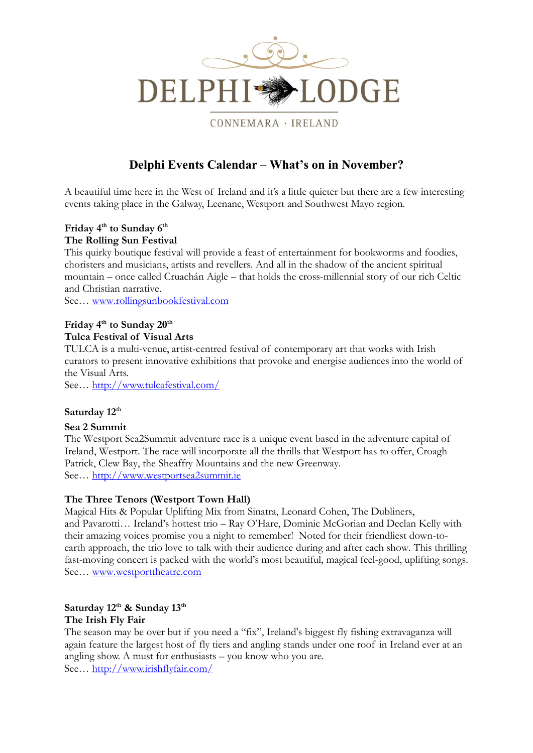

CONNEMARA · IRELAND

# **Delphi Events Calendar – What's on in November?**

A beautiful time here in the West of Ireland and it's a little quieter but there are a few interesting events taking place in the Galway, Leenane, Westport and Southwest Mayo region.

### **Friday 4 th to Sunday 6 th The Rolling Sun Festival**

This quirky boutique festival will provide a feast of entertainment for bookworms and foodies, choristers and musicians, artists and revellers. And all in the shadow of the ancient spiritual mountain – once called Cruachán Aigle – that holds the cross-millennial story of our rich Celtic and Christian narrative.

See… [www.rollingsunbookfestival.com](http://www.rollingsunbookfestival.com/)

# **Friday 4th to Sunday 20th Tulca Festival of Visual Arts**

TULCA is a multi-venue, artist-centred festival of contemporary art that works with Irish curators to present innovative exhibitions that provoke and energise audiences into the world of the Visual Arts.

See… <http://www.tulcafestival.com/>

#### **Saturday 12th**

#### **Sea 2 Summit**

The Westport Sea2Summit adventure race is a unique event based in the adventure capital of Ireland, Westport. The race will incorporate all the thrills that Westport has to offer, Croagh Patrick, Clew Bay, the Sheaffry Mountains and the new Greenway. See… [http://www.westportsea2summit.ie](http://www.westportsea2summit.ie/)

#### **The Three Tenors (Westport Town Hall)**

Magical Hits & Popular Uplifting Mix from Sinatra, Leonard Cohen, The Dubliners, and Pavarotti… Ireland's hottest trio – Ray O'Hare, Dominic McGorian and Declan Kelly with their amazing voices promise you a night to remember! Noted for their friendliest down-toearth approach, the trio love to talk with their audience during and after each show. This thrilling fast-moving concert is packed with the world's most beautiful, magical feel-good, uplifting songs. See… [www.westporttheatre.com](http://www.westporttheatre.com/)

#### **Saturday 12th & Sunday 13th The Irish Fly Fair**

The season may be over but if you need a "fix", Ireland's biggest fly fishing extravaganza will again feature the largest host of fly tiers and angling stands under one roof in Ireland ever at an angling show. A must for enthusiasts – you know who you are. See… <http://www.irishflyfair.com/>